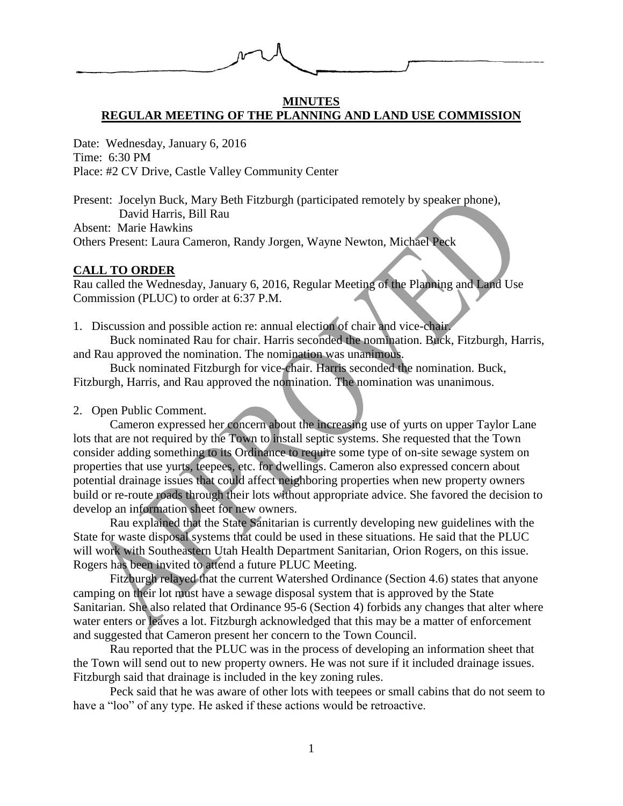

#### **MINUTES REGULAR MEETING OF THE PLANNING AND LAND USE COMMISSION**

Date: Wednesday, January 6, 2016 Time: 6:30 PM Place: #2 CV Drive, Castle Valley Community Center

Present: Jocelyn Buck, Mary Beth Fitzburgh (participated remotely by speaker phone), David Harris, Bill Rau

Absent: Marie Hawkins

Others Present: Laura Cameron, Randy Jorgen, Wayne Newton, Michael Peck

## **CALL TO ORDER**

Rau called the Wednesday, January 6, 2016, Regular Meeting of the Planning and Land Use Commission (PLUC) to order at 6:37 P.M.

1. Discussion and possible action re: annual election of chair and vice-chair.

Buck nominated Rau for chair. Harris seconded the nomination. Buck, Fitzburgh, Harris, and Rau approved the nomination. The nomination was unanimous.

Buck nominated Fitzburgh for vice-chair. Harris seconded the nomination. Buck, Fitzburgh, Harris, and Rau approved the nomination. The nomination was unanimous.

2. Open Public Comment.

Cameron expressed her concern about the increasing use of yurts on upper Taylor Lane lots that are not required by the Town to install septic systems. She requested that the Town consider adding something to its Ordinance to require some type of on-site sewage system on properties that use yurts, teepees, etc. for dwellings. Cameron also expressed concern about potential drainage issues that could affect neighboring properties when new property owners build or re-route roads through their lots without appropriate advice. She favored the decision to develop an information sheet for new owners.

Rau explained that the State Sanitarian is currently developing new guidelines with the State for waste disposal systems that could be used in these situations. He said that the PLUC will work with Southeastern Utah Health Department Sanitarian, Orion Rogers, on this issue. Rogers has been invited to attend a future PLUC Meeting.

Fitzburgh relayed that the current Watershed Ordinance (Section 4.6) states that anyone camping on their lot must have a sewage disposal system that is approved by the State Sanitarian. She also related that Ordinance 95-6 (Section 4) forbids any changes that alter where water enters or leaves a lot. Fitzburgh acknowledged that this may be a matter of enforcement and suggested that Cameron present her concern to the Town Council.

Rau reported that the PLUC was in the process of developing an information sheet that the Town will send out to new property owners. He was not sure if it included drainage issues. Fitzburgh said that drainage is included in the key zoning rules.

Peck said that he was aware of other lots with teepees or small cabins that do not seem to have a "loo" of any type. He asked if these actions would be retroactive.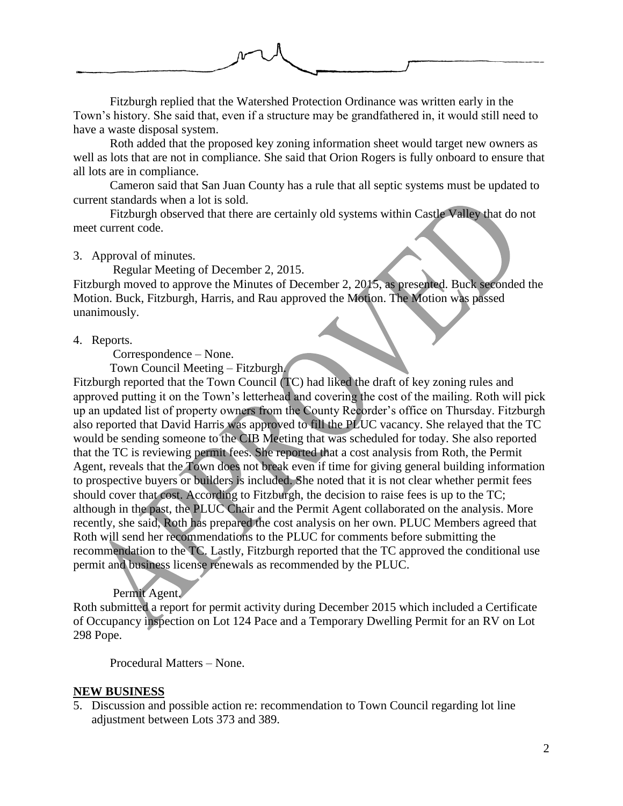

Fitzburgh replied that the Watershed Protection Ordinance was written early in the Town's history. She said that, even if a structure may be grandfathered in, it would still need to have a waste disposal system.

Roth added that the proposed key zoning information sheet would target new owners as well as lots that are not in compliance. She said that Orion Rogers is fully onboard to ensure that all lots are in compliance.

Cameron said that San Juan County has a rule that all septic systems must be updated to current standards when a lot is sold.

Fitzburgh observed that there are certainly old systems within Castle Valley that do not meet current code.

## 3. Approval of minutes.

Regular Meeting of December 2, 2015.

Fitzburgh moved to approve the Minutes of December 2, 2015, as presented. Buck seconded the Motion. Buck, Fitzburgh, Harris, and Rau approved the Motion. The Motion was passed unanimously.

## 4. Reports.

Correspondence – None.

Town Council Meeting – Fitzburgh.

Fitzburgh reported that the Town Council (TC) had liked the draft of key zoning rules and approved putting it on the Town's letterhead and covering the cost of the mailing. Roth will pick up an updated list of property owners from the County Recorder's office on Thursday. Fitzburgh also reported that David Harris was approved to fill the PLUC vacancy. She relayed that the TC would be sending someone to the CIB Meeting that was scheduled for today. She also reported that the TC is reviewing permit fees. She reported that a cost analysis from Roth, the Permit Agent, reveals that the Town does not break even if time for giving general building information to prospective buyers or builders is included. She noted that it is not clear whether permit fees should cover that cost. According to Fitzburgh, the decision to raise fees is up to the TC; although in the past, the PLUC Chair and the Permit Agent collaborated on the analysis. More recently, she said, Roth has prepared the cost analysis on her own. PLUC Members agreed that Roth will send her recommendations to the PLUC for comments before submitting the recommendation to the TC. Lastly, Fitzburgh reported that the TC approved the conditional use permit and business license renewals as recommended by the PLUC.

## Permit Agent.

Roth submitted a report for permit activity during December 2015 which included a Certificate of Occupancy inspection on Lot 124 Pace and a Temporary Dwelling Permit for an RV on Lot 298 Pope.

Procedural Matters – None.

# **NEW BUSINESS**

5. Discussion and possible action re: recommendation to Town Council regarding lot line adjustment between Lots 373 and 389.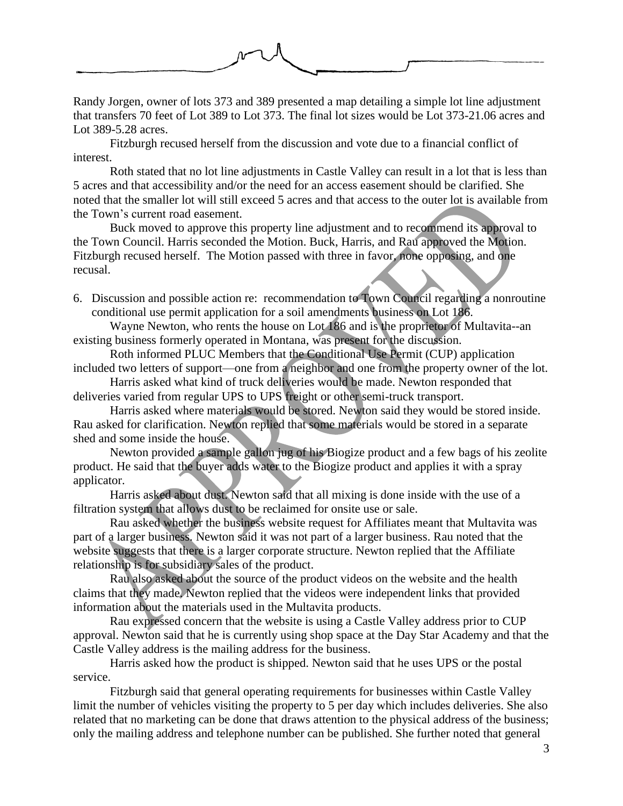

Randy Jorgen, owner of lots 373 and 389 presented a map detailing a simple lot line adjustment that transfers 70 feet of Lot 389 to Lot 373. The final lot sizes would be Lot 373-21.06 acres and Lot 389-5.28 acres.

Fitzburgh recused herself from the discussion and vote due to a financial conflict of interest.

Roth stated that no lot line adjustments in Castle Valley can result in a lot that is less than 5 acres and that accessibility and/or the need for an access easement should be clarified. She noted that the smaller lot will still exceed 5 acres and that access to the outer lot is available from the Town's current road easement.

Buck moved to approve this property line adjustment and to recommend its approval to the Town Council. Harris seconded the Motion. Buck, Harris, and Rau approved the Motion. Fitzburgh recused herself. The Motion passed with three in favor, none opposing, and one recusal.

6. Discussion and possible action re: recommendation to Town Council regarding a nonroutine conditional use permit application for a soil amendments business on Lot 186.

Wayne Newton, who rents the house on Lot 186 and is the proprietor of Multavita--an existing business formerly operated in Montana, was present for the discussion.

Roth informed PLUC Members that the Conditional Use Permit (CUP) application included two letters of support—one from a neighbor and one from the property owner of the lot.

Harris asked what kind of truck deliveries would be made. Newton responded that deliveries varied from regular UPS to UPS freight or other semi-truck transport.

Harris asked where materials would be stored. Newton said they would be stored inside. Rau asked for clarification. Newton replied that some materials would be stored in a separate shed and some inside the house.

Newton provided a sample gallon jug of his Biogize product and a few bags of his zeolite product. He said that the buyer adds water to the Biogize product and applies it with a spray applicator.

Harris asked about dust. Newton said that all mixing is done inside with the use of a filtration system that allows dust to be reclaimed for onsite use or sale.

Rau asked whether the business website request for Affiliates meant that Multavita was part of a larger business. Newton said it was not part of a larger business. Rau noted that the website suggests that there is a larger corporate structure. Newton replied that the Affiliate relationship is for subsidiary sales of the product.

Rau also asked about the source of the product videos on the website and the health claims that they made. Newton replied that the videos were independent links that provided information about the materials used in the Multavita products.

Rau expressed concern that the website is using a Castle Valley address prior to CUP approval. Newton said that he is currently using shop space at the Day Star Academy and that the Castle Valley address is the mailing address for the business.

Harris asked how the product is shipped. Newton said that he uses UPS or the postal service.

Fitzburgh said that general operating requirements for businesses within Castle Valley limit the number of vehicles visiting the property to 5 per day which includes deliveries. She also related that no marketing can be done that draws attention to the physical address of the business; only the mailing address and telephone number can be published. She further noted that general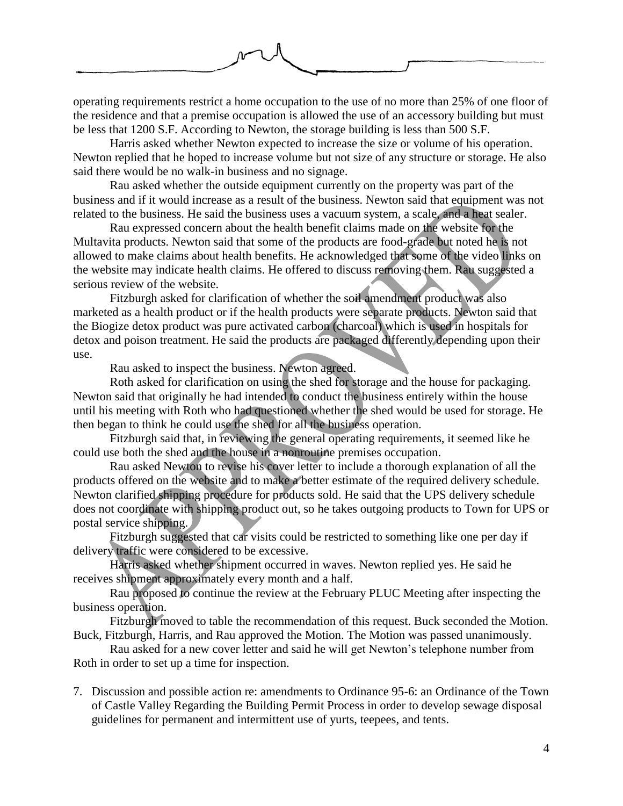

operating requirements restrict a home occupation to the use of no more than 25% of one floor of the residence and that a premise occupation is allowed the use of an accessory building but must be less that 1200 S.F. According to Newton, the storage building is less than 500 S.F.

Harris asked whether Newton expected to increase the size or volume of his operation. Newton replied that he hoped to increase volume but not size of any structure or storage. He also said there would be no walk-in business and no signage.

Rau asked whether the outside equipment currently on the property was part of the business and if it would increase as a result of the business. Newton said that equipment was not related to the business. He said the business uses a vacuum system, a scale, and a heat sealer.

Rau expressed concern about the health benefit claims made on the website for the Multavita products. Newton said that some of the products are food-grade but noted he is not allowed to make claims about health benefits. He acknowledged that some of the video links on the website may indicate health claims. He offered to discuss removing them. Rau suggested a serious review of the website.

Fitzburgh asked for clarification of whether the soil amendment product was also marketed as a health product or if the health products were separate products. Newton said that the Biogize detox product was pure activated carbon (charcoal) which is used in hospitals for detox and poison treatment. He said the products are packaged differently depending upon their use.

Rau asked to inspect the business. Newton agreed.

Roth asked for clarification on using the shed for storage and the house for packaging. Newton said that originally he had intended to conduct the business entirely within the house until his meeting with Roth who had questioned whether the shed would be used for storage. He then began to think he could use the shed for all the business operation.

Fitzburgh said that, in reviewing the general operating requirements, it seemed like he could use both the shed and the house in a nonroutine premises occupation.

Rau asked Newton to revise his cover letter to include a thorough explanation of all the products offered on the website and to make a better estimate of the required delivery schedule. Newton clarified shipping procedure for products sold. He said that the UPS delivery schedule does not coordinate with shipping product out, so he takes outgoing products to Town for UPS or postal service shipping.

Fitzburgh suggested that car visits could be restricted to something like one per day if delivery traffic were considered to be excessive.

Harris asked whether shipment occurred in waves. Newton replied yes. He said he receives shipment approximately every month and a half.

Rau proposed to continue the review at the February PLUC Meeting after inspecting the business operation.

Fitzburgh moved to table the recommendation of this request. Buck seconded the Motion. Buck, Fitzburgh, Harris, and Rau approved the Motion. The Motion was passed unanimously.

Rau asked for a new cover letter and said he will get Newton's telephone number from Roth in order to set up a time for inspection.

7. Discussion and possible action re: amendments to Ordinance 95-6: an Ordinance of the Town of Castle Valley Regarding the Building Permit Process in order to develop sewage disposal guidelines for permanent and intermittent use of yurts, teepees, and tents.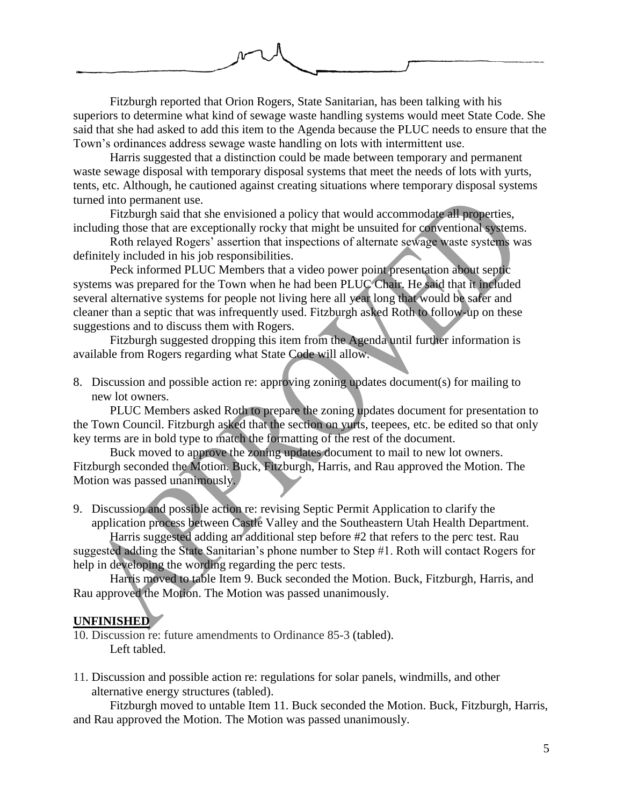

Fitzburgh reported that Orion Rogers, State Sanitarian, has been talking with his superiors to determine what kind of sewage waste handling systems would meet State Code. She said that she had asked to add this item to the Agenda because the PLUC needs to ensure that the Town's ordinances address sewage waste handling on lots with intermittent use.

Harris suggested that a distinction could be made between temporary and permanent waste sewage disposal with temporary disposal systems that meet the needs of lots with yurts, tents, etc. Although, he cautioned against creating situations where temporary disposal systems turned into permanent use.

Fitzburgh said that she envisioned a policy that would accommodate all properties, including those that are exceptionally rocky that might be unsuited for conventional systems.

Roth relayed Rogers' assertion that inspections of alternate sewage waste systems was definitely included in his job responsibilities.

Peck informed PLUC Members that a video power point presentation about septic systems was prepared for the Town when he had been PLUC Chair. He said that it included several alternative systems for people not living here all year long that would be safer and cleaner than a septic that was infrequently used. Fitzburgh asked Roth to follow-up on these suggestions and to discuss them with Rogers.

Fitzburgh suggested dropping this item from the Agenda until further information is available from Rogers regarding what State Code will allow.

8. Discussion and possible action re: approving zoning updates document(s) for mailing to new lot owners.

PLUC Members asked Roth to prepare the zoning updates document for presentation to the Town Council. Fitzburgh asked that the section on yurts, teepees, etc. be edited so that only key terms are in bold type to match the formatting of the rest of the document.

Buck moved to approve the zoning updates document to mail to new lot owners. Fitzburgh seconded the Motion. Buck, Fitzburgh, Harris, and Rau approved the Motion. The Motion was passed unanimously.

9. Discussion and possible action re: revising Septic Permit Application to clarify the application process between Castle Valley and the Southeastern Utah Health Department.

Harris suggested adding an additional step before #2 that refers to the perc test. Rau suggested adding the State Sanitarian's phone number to Step #1. Roth will contact Rogers for help in developing the wording regarding the perc tests.

Harris moved to table Item 9. Buck seconded the Motion. Buck, Fitzburgh, Harris, and Rau approved the Motion. The Motion was passed unanimously.

## **UNFINISHED**

10. Discussion re: future amendments to Ordinance 85-3 (tabled). Left tabled.

11. Discussion and possible action re: regulations for solar panels, windmills, and other alternative energy structures (tabled).

Fitzburgh moved to untable Item 11. Buck seconded the Motion. Buck, Fitzburgh, Harris, and Rau approved the Motion. The Motion was passed unanimously.